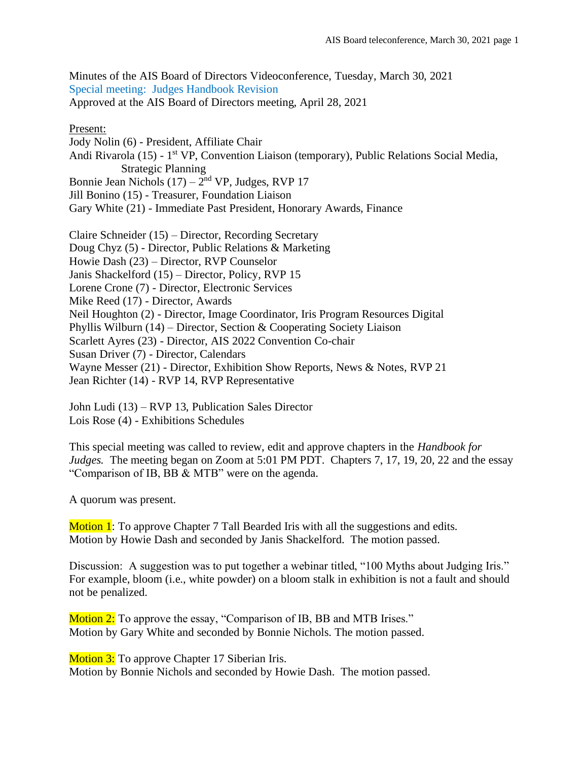Minutes of the AIS Board of Directors Videoconference, Tuesday, March 30, 2021 Special meeting: Judges Handbook Revision Approved at the AIS Board of Directors meeting, April 28, 2021

## Present:

Jody Nolin (6) - President, Affiliate Chair Andi Rivarola (15) - 1<sup>st</sup> VP, Convention Liaison (temporary), Public Relations Social Media, Strategic Planning Bonnie Jean Nichols  $(17) - 2<sup>nd</sup> VP$ , Judges, RVP 17 Jill Bonino (15) - Treasurer, Foundation Liaison Gary White (21) - Immediate Past President, Honorary Awards, Finance

Claire Schneider (15) – Director, Recording Secretary Doug Chyz (5) - Director, Public Relations & Marketing Howie Dash (23) – Director, RVP Counselor Janis Shackelford (15) – Director, Policy, RVP 15 Lorene Crone (7) - Director, Electronic Services Mike Reed (17) - Director, Awards Neil Houghton (2) - Director, Image Coordinator, Iris Program Resources Digital Phyllis Wilburn (14) – Director, Section & Cooperating Society Liaison Scarlett Ayres (23) - Director, AIS 2022 Convention Co-chair Susan Driver (7) - Director, Calendars Wayne Messer (21) - Director, Exhibition Show Reports, News & Notes, RVP 21 Jean Richter (14) - RVP 14, RVP Representative

John Ludi (13) – RVP 13, Publication Sales Director Lois Rose (4) - Exhibitions Schedules

This special meeting was called to review, edit and approve chapters in the *Handbook for Judges.* The meeting began on Zoom at 5:01 PM PDT. Chapters 7, 17, 19, 20, 22 and the essay "Comparison of IB, BB & MTB" were on the agenda.

A quorum was present.

Motion 1: To approve Chapter 7 Tall Bearded Iris with all the suggestions and edits. Motion by Howie Dash and seconded by Janis Shackelford. The motion passed.

Discussion: A suggestion was to put together a webinar titled, "100 Myths about Judging Iris." For example, bloom (i.e., white powder) on a bloom stalk in exhibition is not a fault and should not be penalized.

Motion 2: To approve the essay, "Comparison of IB, BB and MTB Irises." Motion by Gary White and seconded by Bonnie Nichols. The motion passed.

Motion 3: To approve Chapter 17 Siberian Iris.

Motion by Bonnie Nichols and seconded by Howie Dash. The motion passed.